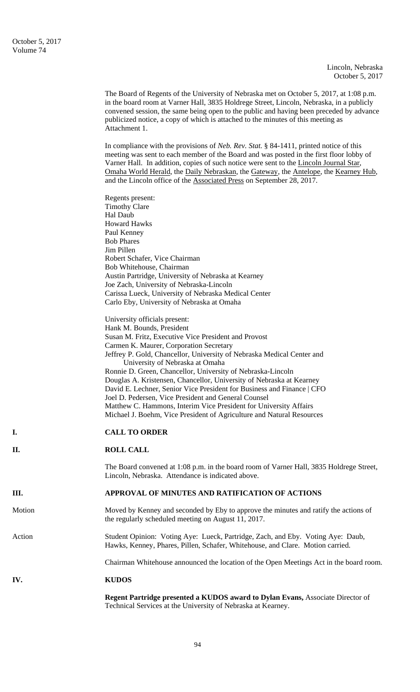The Board of Regents of the University of Nebraska met on October 5, 2017, at 1:08 p.m. in the board room at Varner Hall, 3835 Holdrege Street, Lincoln, Nebraska, in a publicly convened session, the same being open to the public and having been preceded by advance publicized notice, a copy of which is attached to the minutes of this meeting as Attachment 1.

In compliance with the provisions of *Neb. Rev. Stat.* § 84-1411, printed notice of this meeting was sent to each member of the Board and was posted in the first floor lobby of Varner Hall. In addition, copies of such notice were sent to the Lincoln Journal Star, Omaha World Herald, the Daily Nebraskan, the Gateway, the Antelope, the Kearney Hub, and the Lincoln office of the Associated Press on September 28, 2017.

|        | Regents present:<br><b>Timothy Clare</b><br>Hal Daub<br><b>Howard Hawks</b><br>Paul Kenney<br><b>Bob Phares</b><br>Jim Pillen<br>Robert Schafer, Vice Chairman<br>Bob Whitehouse, Chairman<br>Austin Partridge, University of Nebraska at Kearney                                                                                                                                                                                                                                                                                                                                                                                                                                                 |
|--------|---------------------------------------------------------------------------------------------------------------------------------------------------------------------------------------------------------------------------------------------------------------------------------------------------------------------------------------------------------------------------------------------------------------------------------------------------------------------------------------------------------------------------------------------------------------------------------------------------------------------------------------------------------------------------------------------------|
|        | Joe Zach, University of Nebraska-Lincoln<br>Carissa Lueck, University of Nebraska Medical Center<br>Carlo Eby, University of Nebraska at Omaha                                                                                                                                                                                                                                                                                                                                                                                                                                                                                                                                                    |
|        | University officials present:<br>Hank M. Bounds, President<br>Susan M. Fritz, Executive Vice President and Provost<br>Carmen K. Maurer, Corporation Secretary<br>Jeffrey P. Gold, Chancellor, University of Nebraska Medical Center and<br>University of Nebraska at Omaha<br>Ronnie D. Green, Chancellor, University of Nebraska-Lincoln<br>Douglas A. Kristensen, Chancellor, University of Nebraska at Kearney<br>David E. Lechner, Senior Vice President for Business and Finance   CFO<br>Joel D. Pedersen, Vice President and General Counsel<br>Matthew C. Hammons, Interim Vice President for University Affairs<br>Michael J. Boehm, Vice President of Agriculture and Natural Resources |
| I.     | <b>CALL TO ORDER</b>                                                                                                                                                                                                                                                                                                                                                                                                                                                                                                                                                                                                                                                                              |
| II.    | <b>ROLL CALL</b>                                                                                                                                                                                                                                                                                                                                                                                                                                                                                                                                                                                                                                                                                  |
|        | The Board convened at 1:08 p.m. in the board room of Varner Hall, 3835 Holdrege Street,<br>Lincoln, Nebraska. Attendance is indicated above.                                                                                                                                                                                                                                                                                                                                                                                                                                                                                                                                                      |
| Ш.     | APPROVAL OF MINUTES AND RATIFICATION OF ACTIONS                                                                                                                                                                                                                                                                                                                                                                                                                                                                                                                                                                                                                                                   |
| Motion | Moved by Kenney and seconded by Eby to approve the minutes and ratify the actions of<br>the regularly scheduled meeting on August 11, 2017.                                                                                                                                                                                                                                                                                                                                                                                                                                                                                                                                                       |
| Action | Student Opinion: Voting Aye: Lueck, Partridge, Zach, and Eby. Voting Aye: Daub,<br>Hawks, Kenney, Phares, Pillen, Schafer, Whitehouse, and Clare. Motion carried.                                                                                                                                                                                                                                                                                                                                                                                                                                                                                                                                 |
|        | Chairman Whitehouse announced the location of the Open Meetings Act in the board room.                                                                                                                                                                                                                                                                                                                                                                                                                                                                                                                                                                                                            |
| IV.    | <b>KUDOS</b>                                                                                                                                                                                                                                                                                                                                                                                                                                                                                                                                                                                                                                                                                      |
|        | Regent Partridge presented a KUDOS award to Dylan Evans, Associate Director of<br>Technical Services at the University of Nebraska at Kearney.                                                                                                                                                                                                                                                                                                                                                                                                                                                                                                                                                    |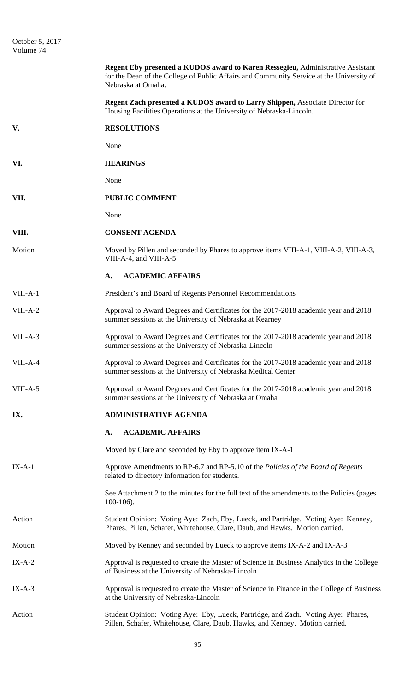|          | Regent Eby presented a KUDOS award to Karen Ressegieu, Administrative Assistant<br>for the Dean of the College of Public Affairs and Community Service at the University of<br>Nebraska at Omaha. |
|----------|---------------------------------------------------------------------------------------------------------------------------------------------------------------------------------------------------|
|          | <b>Regent Zach presented a KUDOS award to Larry Shippen, Associate Director for</b><br>Housing Facilities Operations at the University of Nebraska-Lincoln.                                       |
| V.       | <b>RESOLUTIONS</b>                                                                                                                                                                                |
|          | None                                                                                                                                                                                              |
| VI.      | <b>HEARINGS</b>                                                                                                                                                                                   |
|          | None                                                                                                                                                                                              |
| VII.     | <b>PUBLIC COMMENT</b>                                                                                                                                                                             |
|          | None                                                                                                                                                                                              |
| VIII.    | <b>CONSENT AGENDA</b>                                                                                                                                                                             |
| Motion   | Moved by Pillen and seconded by Phares to approve items VIII-A-1, VIII-A-2, VIII-A-3,<br>VIII-A-4, and VIII-A-5                                                                                   |
|          | <b>ACADEMIC AFFAIRS</b><br>A.                                                                                                                                                                     |
| VIII-A-1 | President's and Board of Regents Personnel Recommendations                                                                                                                                        |
| VIII-A-2 | Approval to Award Degrees and Certificates for the 2017-2018 academic year and 2018<br>summer sessions at the University of Nebraska at Kearney                                                   |
| VIII-A-3 | Approval to Award Degrees and Certificates for the 2017-2018 academic year and 2018<br>summer sessions at the University of Nebraska-Lincoln                                                      |
| VIII-A-4 | Approval to Award Degrees and Certificates for the 2017-2018 academic year and 2018<br>summer sessions at the University of Nebraska Medical Center                                               |
| VIII-A-5 | Approval to Award Degrees and Certificates for the 2017-2018 academic year and 2018<br>summer sessions at the University of Nebraska at Omaha                                                     |
| IX.      | <b>ADMINISTRATIVE AGENDA</b>                                                                                                                                                                      |
|          | <b>ACADEMIC AFFAIRS</b><br>A.                                                                                                                                                                     |
|          | Moved by Clare and seconded by Eby to approve item IX-A-1                                                                                                                                         |
| $IX-A-1$ | Approve Amendments to RP-6.7 and RP-5.10 of the Policies of the Board of Regents<br>related to directory information for students.                                                                |
|          | See Attachment 2 to the minutes for the full text of the amendments to the Policies (pages<br>$100-106$ ).                                                                                        |
| Action   | Student Opinion: Voting Aye: Zach, Eby, Lueck, and Partridge. Voting Aye: Kenney,<br>Phares, Pillen, Schafer, Whitehouse, Clare, Daub, and Hawks. Motion carried.                                 |
| Motion   | Moved by Kenney and seconded by Lueck to approve items IX-A-2 and IX-A-3                                                                                                                          |
| $IX-A-2$ | Approval is requested to create the Master of Science in Business Analytics in the College<br>of Business at the University of Nebraska-Lincoln                                                   |
| $IX-A-3$ | Approval is requested to create the Master of Science in Finance in the College of Business<br>at the University of Nebraska-Lincoln                                                              |
| Action   | Student Opinion: Voting Aye: Eby, Lueck, Partridge, and Zach. Voting Aye: Phares,<br>Pillen, Schafer, Whitehouse, Clare, Daub, Hawks, and Kenney. Motion carried.                                 |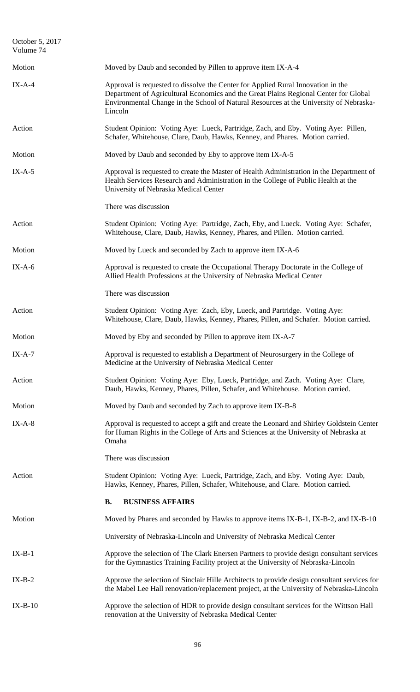| October 5, 2017<br>Volume 74 |                                                                                                                                                                                                                                                                               |
|------------------------------|-------------------------------------------------------------------------------------------------------------------------------------------------------------------------------------------------------------------------------------------------------------------------------|
| Motion                       | Moved by Daub and seconded by Pillen to approve item IX-A-4                                                                                                                                                                                                                   |
| $IX-A-4$                     | Approval is requested to dissolve the Center for Applied Rural Innovation in the<br>Department of Agricultural Economics and the Great Plains Regional Center for Global<br>Environmental Change in the School of Natural Resources at the University of Nebraska-<br>Lincoln |
| Action                       | Student Opinion: Voting Aye: Lueck, Partridge, Zach, and Eby. Voting Aye: Pillen,<br>Schafer, Whitehouse, Clare, Daub, Hawks, Kenney, and Phares. Motion carried.                                                                                                             |
| Motion                       | Moved by Daub and seconded by Eby to approve item IX-A-5                                                                                                                                                                                                                      |
| $IX-A-5$                     | Approval is requested to create the Master of Health Administration in the Department of<br>Health Services Research and Administration in the College of Public Health at the<br>University of Nebraska Medical Center                                                       |
|                              | There was discussion                                                                                                                                                                                                                                                          |
| Action                       | Student Opinion: Voting Aye: Partridge, Zach, Eby, and Lueck. Voting Aye: Schafer,<br>Whitehouse, Clare, Daub, Hawks, Kenney, Phares, and Pillen. Motion carried.                                                                                                             |
| Motion                       | Moved by Lueck and seconded by Zach to approve item IX-A-6                                                                                                                                                                                                                    |
| $IX-A-6$                     | Approval is requested to create the Occupational Therapy Doctorate in the College of<br>Allied Health Professions at the University of Nebraska Medical Center                                                                                                                |
|                              | There was discussion                                                                                                                                                                                                                                                          |
| Action                       | Student Opinion: Voting Aye: Zach, Eby, Lueck, and Partridge. Voting Aye:<br>Whitehouse, Clare, Daub, Hawks, Kenney, Phares, Pillen, and Schafer. Motion carried.                                                                                                             |
| Motion                       | Moved by Eby and seconded by Pillen to approve item IX-A-7                                                                                                                                                                                                                    |
| $IX-A-7$                     | Approval is requested to establish a Department of Neurosurgery in the College of<br>Medicine at the University of Nebraska Medical Center                                                                                                                                    |
| Action                       | Student Opinion: Voting Aye: Eby, Lueck, Partridge, and Zach. Voting Aye: Clare,<br>Daub, Hawks, Kenney, Phares, Pillen, Schafer, and Whitehouse. Motion carried.                                                                                                             |
| Motion                       | Moved by Daub and seconded by Zach to approve item IX-B-8                                                                                                                                                                                                                     |
| $IX-A-8$                     | Approval is requested to accept a gift and create the Leonard and Shirley Goldstein Center<br>for Human Rights in the College of Arts and Sciences at the University of Nebraska at<br>Omaha                                                                                  |
|                              | There was discussion                                                                                                                                                                                                                                                          |
| Action                       | Student Opinion: Voting Aye: Lueck, Partridge, Zach, and Eby. Voting Aye: Daub,<br>Hawks, Kenney, Phares, Pillen, Schafer, Whitehouse, and Clare. Motion carried.                                                                                                             |
|                              | <b>BUSINESS AFFAIRS</b><br><b>B.</b>                                                                                                                                                                                                                                          |
| Motion                       | Moved by Phares and seconded by Hawks to approve items IX-B-1, IX-B-2, and IX-B-10                                                                                                                                                                                            |
|                              | University of Nebraska-Lincoln and University of Nebraska Medical Center                                                                                                                                                                                                      |
| $IX-B-1$                     | Approve the selection of The Clark Enersen Partners to provide design consultant services<br>for the Gymnastics Training Facility project at the University of Nebraska-Lincoln                                                                                               |
| $IX-B-2$                     | Approve the selection of Sinclair Hille Architects to provide design consultant services for<br>the Mabel Lee Hall renovation/replacement project, at the University of Nebraska-Lincoln                                                                                      |
| $IX-B-10$                    | Approve the selection of HDR to provide design consultant services for the Wittson Hall<br>renovation at the University of Nebraska Medical Center                                                                                                                            |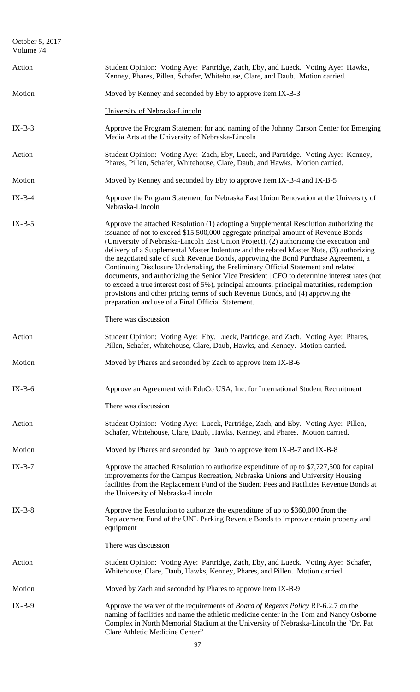| October 5, 2017<br>Volume 74 |                                                                                                                                                                                                                                                                                                                                                                                                                                                                                                                                                                                                                                                                                                                                                                                                                                                                                      |
|------------------------------|--------------------------------------------------------------------------------------------------------------------------------------------------------------------------------------------------------------------------------------------------------------------------------------------------------------------------------------------------------------------------------------------------------------------------------------------------------------------------------------------------------------------------------------------------------------------------------------------------------------------------------------------------------------------------------------------------------------------------------------------------------------------------------------------------------------------------------------------------------------------------------------|
| Action                       | Student Opinion: Voting Aye: Partridge, Zach, Eby, and Lueck. Voting Aye: Hawks,<br>Kenney, Phares, Pillen, Schafer, Whitehouse, Clare, and Daub. Motion carried.                                                                                                                                                                                                                                                                                                                                                                                                                                                                                                                                                                                                                                                                                                                    |
| Motion                       | Moved by Kenney and seconded by Eby to approve item IX-B-3                                                                                                                                                                                                                                                                                                                                                                                                                                                                                                                                                                                                                                                                                                                                                                                                                           |
|                              | University of Nebraska-Lincoln                                                                                                                                                                                                                                                                                                                                                                                                                                                                                                                                                                                                                                                                                                                                                                                                                                                       |
| $IX-B-3$                     | Approve the Program Statement for and naming of the Johnny Carson Center for Emerging<br>Media Arts at the University of Nebraska-Lincoln                                                                                                                                                                                                                                                                                                                                                                                                                                                                                                                                                                                                                                                                                                                                            |
| Action                       | Student Opinion: Voting Aye: Zach, Eby, Lueck, and Partridge. Voting Aye: Kenney,<br>Phares, Pillen, Schafer, Whitehouse, Clare, Daub, and Hawks. Motion carried.                                                                                                                                                                                                                                                                                                                                                                                                                                                                                                                                                                                                                                                                                                                    |
| Motion                       | Moved by Kenney and seconded by Eby to approve item IX-B-4 and IX-B-5                                                                                                                                                                                                                                                                                                                                                                                                                                                                                                                                                                                                                                                                                                                                                                                                                |
| $IX-B-4$                     | Approve the Program Statement for Nebraska East Union Renovation at the University of<br>Nebraska-Lincoln                                                                                                                                                                                                                                                                                                                                                                                                                                                                                                                                                                                                                                                                                                                                                                            |
| $IX-B-5$                     | Approve the attached Resolution (1) adopting a Supplemental Resolution authorizing the<br>issuance of not to exceed \$15,500,000 aggregate principal amount of Revenue Bonds<br>(University of Nebraska-Lincoln East Union Project), (2) authorizing the execution and<br>delivery of a Supplemental Master Indenture and the related Master Note, (3) authorizing<br>the negotiated sale of such Revenue Bonds, approving the Bond Purchase Agreement, a<br>Continuing Disclosure Undertaking, the Preliminary Official Statement and related<br>documents, and authorizing the Senior Vice President   CFO to determine interest rates (not<br>to exceed a true interest cost of 5%), principal amounts, principal maturities, redemption<br>provisions and other pricing terms of such Revenue Bonds, and (4) approving the<br>preparation and use of a Final Official Statement. |
|                              | There was discussion                                                                                                                                                                                                                                                                                                                                                                                                                                                                                                                                                                                                                                                                                                                                                                                                                                                                 |
| Action                       | Student Opinion: Voting Aye: Eby, Lueck, Partridge, and Zach. Voting Aye: Phares,<br>Pillen, Schafer, Whitehouse, Clare, Daub, Hawks, and Kenney. Motion carried.                                                                                                                                                                                                                                                                                                                                                                                                                                                                                                                                                                                                                                                                                                                    |
| Motion                       | Moved by Phares and seconded by Zach to approve item IX-B-6                                                                                                                                                                                                                                                                                                                                                                                                                                                                                                                                                                                                                                                                                                                                                                                                                          |
| $IX-B-6$                     | Approve an Agreement with EduCo USA, Inc. for International Student Recruitment                                                                                                                                                                                                                                                                                                                                                                                                                                                                                                                                                                                                                                                                                                                                                                                                      |
|                              | There was discussion                                                                                                                                                                                                                                                                                                                                                                                                                                                                                                                                                                                                                                                                                                                                                                                                                                                                 |
| Action                       | Student Opinion: Voting Aye: Lueck, Partridge, Zach, and Eby. Voting Aye: Pillen,<br>Schafer, Whitehouse, Clare, Daub, Hawks, Kenney, and Phares. Motion carried.                                                                                                                                                                                                                                                                                                                                                                                                                                                                                                                                                                                                                                                                                                                    |
| Motion                       | Moved by Phares and seconded by Daub to approve item IX-B-7 and IX-B-8                                                                                                                                                                                                                                                                                                                                                                                                                                                                                                                                                                                                                                                                                                                                                                                                               |
| $IX-B-7$                     | Approve the attached Resolution to authorize expenditure of up to \$7,727,500 for capital<br>improvements for the Campus Recreation, Nebraska Unions and University Housing<br>facilities from the Replacement Fund of the Student Fees and Facilities Revenue Bonds at<br>the University of Nebraska-Lincoln                                                                                                                                                                                                                                                                                                                                                                                                                                                                                                                                                                        |
| $IX-B-8$                     | Approve the Resolution to authorize the expenditure of up to \$360,000 from the<br>Replacement Fund of the UNL Parking Revenue Bonds to improve certain property and<br>equipment                                                                                                                                                                                                                                                                                                                                                                                                                                                                                                                                                                                                                                                                                                    |
|                              | There was discussion                                                                                                                                                                                                                                                                                                                                                                                                                                                                                                                                                                                                                                                                                                                                                                                                                                                                 |
| Action                       | Student Opinion: Voting Aye: Partridge, Zach, Eby, and Lueck. Voting Aye: Schafer,<br>Whitehouse, Clare, Daub, Hawks, Kenney, Phares, and Pillen. Motion carried.                                                                                                                                                                                                                                                                                                                                                                                                                                                                                                                                                                                                                                                                                                                    |
| Motion                       | Moved by Zach and seconded by Phares to approve item IX-B-9                                                                                                                                                                                                                                                                                                                                                                                                                                                                                                                                                                                                                                                                                                                                                                                                                          |
| $IX-B-9$                     | Approve the waiver of the requirements of <i>Board of Regents Policy RP-6.2.7</i> on the<br>naming of facilities and name the athletic medicine center in the Tom and Nancy Osborne<br>Complex in North Memorial Stadium at the University of Nebraska-Lincoln the "Dr. Pat<br>Clare Athletic Medicine Center"                                                                                                                                                                                                                                                                                                                                                                                                                                                                                                                                                                       |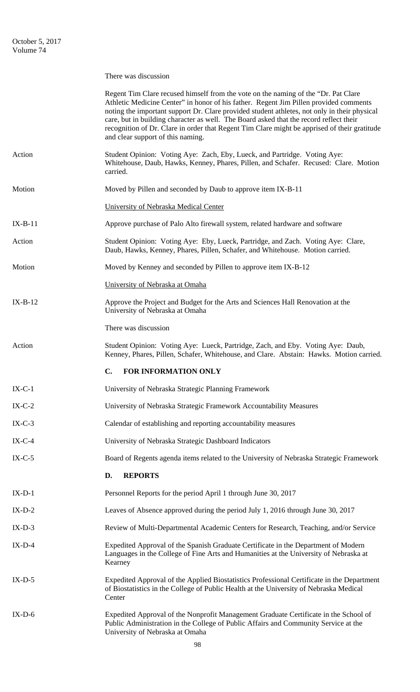|           | There was discussion                                                                                                                                                                                                                                                                                                                                                                                                                                                                                        |
|-----------|-------------------------------------------------------------------------------------------------------------------------------------------------------------------------------------------------------------------------------------------------------------------------------------------------------------------------------------------------------------------------------------------------------------------------------------------------------------------------------------------------------------|
|           | Regent Tim Clare recused himself from the vote on the naming of the "Dr. Pat Clare"<br>Athletic Medicine Center" in honor of his father. Regent Jim Pillen provided comments<br>noting the important support Dr. Clare provided student athletes, not only in their physical<br>care, but in building character as well. The Board asked that the record reflect their<br>recognition of Dr. Clare in order that Regent Tim Clare might be apprised of their gratitude<br>and clear support of this naming. |
| Action    | Student Opinion: Voting Aye: Zach, Eby, Lueck, and Partridge. Voting Aye:<br>Whitehouse, Daub, Hawks, Kenney, Phares, Pillen, and Schafer. Recused: Clare. Motion<br>carried.                                                                                                                                                                                                                                                                                                                               |
| Motion    | Moved by Pillen and seconded by Daub to approve item IX-B-11                                                                                                                                                                                                                                                                                                                                                                                                                                                |
|           | University of Nebraska Medical Center                                                                                                                                                                                                                                                                                                                                                                                                                                                                       |
| $IX-B-11$ | Approve purchase of Palo Alto firewall system, related hardware and software                                                                                                                                                                                                                                                                                                                                                                                                                                |
| Action    | Student Opinion: Voting Aye: Eby, Lueck, Partridge, and Zach. Voting Aye: Clare,<br>Daub, Hawks, Kenney, Phares, Pillen, Schafer, and Whitehouse. Motion carried.                                                                                                                                                                                                                                                                                                                                           |
| Motion    | Moved by Kenney and seconded by Pillen to approve item IX-B-12                                                                                                                                                                                                                                                                                                                                                                                                                                              |
|           | University of Nebraska at Omaha                                                                                                                                                                                                                                                                                                                                                                                                                                                                             |
| $IX-B-12$ | Approve the Project and Budget for the Arts and Sciences Hall Renovation at the<br>University of Nebraska at Omaha                                                                                                                                                                                                                                                                                                                                                                                          |
|           | There was discussion                                                                                                                                                                                                                                                                                                                                                                                                                                                                                        |
| Action    | Student Opinion: Voting Aye: Lueck, Partridge, Zach, and Eby. Voting Aye: Daub,<br>Kenney, Phares, Pillen, Schafer, Whitehouse, and Clare. Abstain: Hawks. Motion carried.                                                                                                                                                                                                                                                                                                                                  |
|           | FOR INFORMATION ONLY<br>$\mathbf{C}$ .                                                                                                                                                                                                                                                                                                                                                                                                                                                                      |
| $IX-C-1$  | University of Nebraska Strategic Planning Framework                                                                                                                                                                                                                                                                                                                                                                                                                                                         |
| $IX-C-2$  | University of Nebraska Strategic Framework Accountability Measures                                                                                                                                                                                                                                                                                                                                                                                                                                          |
| $IX-C-3$  | Calendar of establishing and reporting accountability measures                                                                                                                                                                                                                                                                                                                                                                                                                                              |
| $IX-C-4$  | University of Nebraska Strategic Dashboard Indicators                                                                                                                                                                                                                                                                                                                                                                                                                                                       |
| $IX-C-5$  | Board of Regents agenda items related to the University of Nebraska Strategic Framework                                                                                                                                                                                                                                                                                                                                                                                                                     |
|           | <b>REPORTS</b><br>D.                                                                                                                                                                                                                                                                                                                                                                                                                                                                                        |
| $IX-D-1$  | Personnel Reports for the period April 1 through June 30, 2017                                                                                                                                                                                                                                                                                                                                                                                                                                              |
| $IX-D-2$  | Leaves of Absence approved during the period July 1, 2016 through June 30, 2017                                                                                                                                                                                                                                                                                                                                                                                                                             |
| $IX-D-3$  | Review of Multi-Departmental Academic Centers for Research, Teaching, and/or Service                                                                                                                                                                                                                                                                                                                                                                                                                        |
| $IX-D-4$  | Expedited Approval of the Spanish Graduate Certificate in the Department of Modern<br>Languages in the College of Fine Arts and Humanities at the University of Nebraska at<br>Kearney                                                                                                                                                                                                                                                                                                                      |
| $IX-D-5$  | Expedited Approval of the Applied Biostatistics Professional Certificate in the Department<br>of Biostatistics in the College of Public Health at the University of Nebraska Medical<br>Center                                                                                                                                                                                                                                                                                                              |
| $IX-D-6$  | Expedited Approval of the Nonprofit Management Graduate Certificate in the School of<br>Public Administration in the College of Public Affairs and Community Service at the<br>University of Nebraska at Omaha                                                                                                                                                                                                                                                                                              |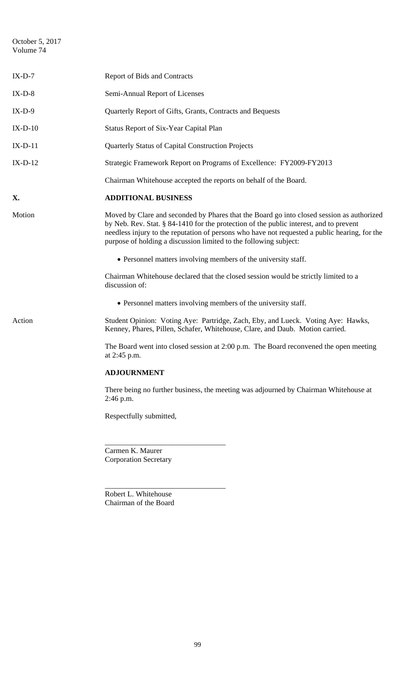October 5, 2017 Volume 74

| $IX-D-7$  | Report of Bids and Contracts                                                                                                                                                                                                                                                                                                                              |
|-----------|-----------------------------------------------------------------------------------------------------------------------------------------------------------------------------------------------------------------------------------------------------------------------------------------------------------------------------------------------------------|
| $IX-D-8$  | Semi-Annual Report of Licenses                                                                                                                                                                                                                                                                                                                            |
| $IX-D-9$  | Quarterly Report of Gifts, Grants, Contracts and Bequests                                                                                                                                                                                                                                                                                                 |
| $IX-D-10$ | <b>Status Report of Six-Year Capital Plan</b>                                                                                                                                                                                                                                                                                                             |
| $IX-D-11$ | Quarterly Status of Capital Construction Projects                                                                                                                                                                                                                                                                                                         |
| $IX-D-12$ | Strategic Framework Report on Programs of Excellence: FY2009-FY2013                                                                                                                                                                                                                                                                                       |
|           | Chairman Whitehouse accepted the reports on behalf of the Board.                                                                                                                                                                                                                                                                                          |
| X.        | <b>ADDITIONAL BUSINESS</b>                                                                                                                                                                                                                                                                                                                                |
| Motion    | Moved by Clare and seconded by Phares that the Board go into closed session as authorized<br>by Neb. Rev. Stat. § 84-1410 for the protection of the public interest, and to prevent<br>needless injury to the reputation of persons who have not requested a public hearing, for the<br>purpose of holding a discussion limited to the following subject: |
|           | • Personnel matters involving members of the university staff.                                                                                                                                                                                                                                                                                            |
|           | Chairman Whitehouse declared that the closed session would be strictly limited to a<br>discussion of:                                                                                                                                                                                                                                                     |
|           | • Personnel matters involving members of the university staff.                                                                                                                                                                                                                                                                                            |
| Action    | Student Opinion: Voting Aye: Partridge, Zach, Eby, and Lueck. Voting Aye: Hawks,<br>Kenney, Phares, Pillen, Schafer, Whitehouse, Clare, and Daub. Motion carried.                                                                                                                                                                                         |
|           | The Board went into closed session at $2:00$ p.m. The Board reconvened the open meeting<br>at 2:45 p.m.                                                                                                                                                                                                                                                   |
|           | <b>ADJOURNMENT</b>                                                                                                                                                                                                                                                                                                                                        |
|           | There being no further business, the meeting was adjourned by Chairman Whitehouse at<br>2:46 p.m.                                                                                                                                                                                                                                                         |
|           | Respectfully submitted,                                                                                                                                                                                                                                                                                                                                   |
|           |                                                                                                                                                                                                                                                                                                                                                           |
|           | Carmen K. Maurer                                                                                                                                                                                                                                                                                                                                          |

Corporation Secretary

Robert L. Whitehouse Chairman of the Board

\_\_\_\_\_\_\_\_\_\_\_\_\_\_\_\_\_\_\_\_\_\_\_\_\_\_\_\_\_\_\_\_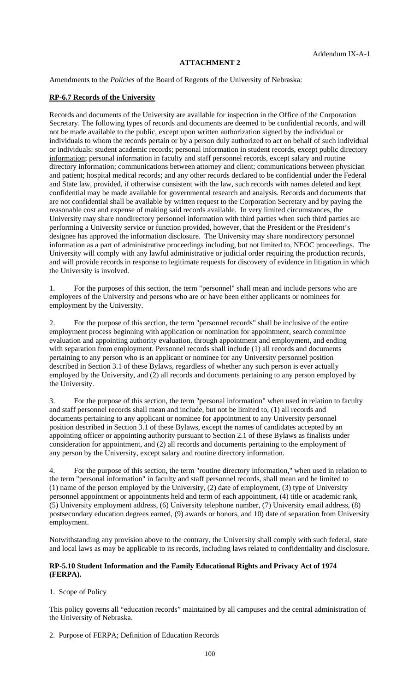## **ATTACHMENT 2**

Amendments to the *Policies* of the Board of Regents of the University of Nebraska:

### **RP-6.7 Records of the University**

Records and documents of the University are available for inspection in the Office of the Corporation Secretary. The following types of records and documents are deemed to be confidential records, and will not be made available to the public, except upon written authorization signed by the individual or individuals to whom the records pertain or by a person duly authorized to act on behalf of such individual or individuals: student academic records; personal information in student records, except public directory information; personal information in faculty and staff personnel records, except salary and routine directory information; communications between attorney and client; communications between physician and patient; hospital medical records; and any other records declared to be confidential under the Federal and State law, provided, if otherwise consistent with the law, such records with names deleted and kept confidential may be made available for governmental research and analysis. Records and documents that are not confidential shall be available by written request to the Corporation Secretary and by paying the reasonable cost and expense of making said records available. In very limited circumstances, the University may share nondirectory personnel information with third parties when such third parties are performing a University service or function provided, however, that the President or the President's designee has approved the information disclosure. The University may share nondirectory personnel information as a part of administrative proceedings including, but not limited to, NEOC proceedings. The University will comply with any lawful administrative or judicial order requiring the production records, and will provide records in response to legitimate requests for discovery of evidence in litigation in which the University is involved.

1. For the purposes of this section, the term "personnel" shall mean and include persons who are employees of the University and persons who are or have been either applicants or nominees for employment by the University.

2. For the purpose of this section, the term "personnel records" shall be inclusive of the entire employment process beginning with application or nomination for appointment, search committee evaluation and appointing authority evaluation, through appointment and employment, and ending with separation from employment. Personnel records shall include (1) all records and documents pertaining to any person who is an applicant or nominee for any University personnel position described in Section 3.1 of these Bylaws, regardless of whether any such person is ever actually employed by the University, and (2) all records and documents pertaining to any person employed by the University.

3. For the purpose of this section, the term "personal information" when used in relation to faculty and staff personnel records shall mean and include, but not be limited to, (1) all records and documents pertaining to any applicant or nominee for appointment to any University personnel position described in Section 3.1 of these Bylaws, except the names of candidates accepted by an appointing officer or appointing authority pursuant to Section 2.1 of these Bylaws as finalists under consideration for appointment, and (2) all records and documents pertaining to the employment of any person by the University, except salary and routine directory information.

4. For the purpose of this section, the term "routine directory information," when used in relation to the term "personal information" in faculty and staff personnel records, shall mean and be limited to (1) name of the person employed by the University,  $(2)$  date of employment,  $(3)$  type of University personnel appointment or appointments held and term of each appointment, (4) title or academic rank, (5) University employment address, (6) University telephone number, (7) University email address, (8) postsecondary education degrees earned, (9) awards or honors, and 10) date of separation from University employment.

Notwithstanding any provision above to the contrary, the University shall comply with such federal, state and local laws as may be applicable to its records, including laws related to confidentiality and disclosure.

### **RP-5.10 Student Information and the Family Educational Rights and Privacy Act of 1974 (FERPA).**

1. Scope of Policy

This policy governs all "education records" maintained by all campuses and the central administration of the University of Nebraska.

2. Purpose of FERPA; Definition of Education Records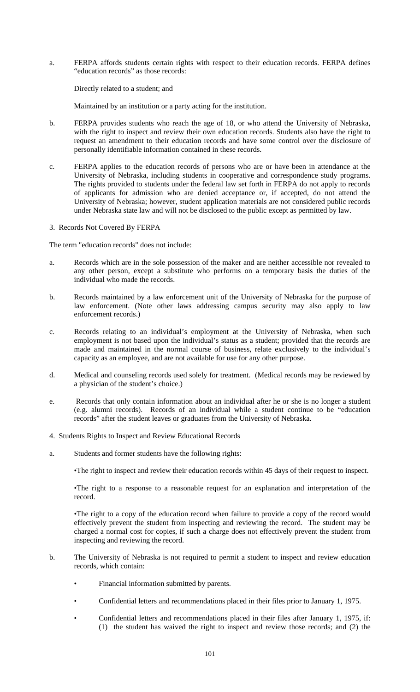a. FERPA affords students certain rights with respect to their education records. FERPA defines "education records" as those records:

Directly related to a student; and

Maintained by an institution or a party acting for the institution.

- b. FERPA provides students who reach the age of 18, or who attend the University of Nebraska, with the right to inspect and review their own education records. Students also have the right to request an amendment to their education records and have some control over the disclosure of personally identifiable information contained in these records.
- c. FERPA applies to the education records of persons who are or have been in attendance at the University of Nebraska, including students in cooperative and correspondence study programs. The rights provided to students under the federal law set forth in FERPA do not apply to records of applicants for admission who are denied acceptance or, if accepted, do not attend the University of Nebraska; however, student application materials are not considered public records under Nebraska state law and will not be disclosed to the public except as permitted by law.
- 3. Records Not Covered By FERPA

The term "education records" does not include:

- a. Records which are in the sole possession of the maker and are neither accessible nor revealed to any other person, except a substitute who performs on a temporary basis the duties of the individual who made the records.
- b. Records maintained by a law enforcement unit of the University of Nebraska for the purpose of law enforcement. (Note other laws addressing campus security may also apply to law enforcement records.)
- c. Records relating to an individual's employment at the University of Nebraska, when such employment is not based upon the individual's status as a student; provided that the records are made and maintained in the normal course of business, relate exclusively to the individual's capacity as an employee, and are not available for use for any other purpose.
- d. Medical and counseling records used solely for treatment. (Medical records may be reviewed by a physician of the student's choice.)
- e. Records that only contain information about an individual after he or she is no longer a student (e.g. alumni records). Records of an individual while a student continue to be "education records" after the student leaves or graduates from the University of Nebraska.
- 4. Students Rights to Inspect and Review Educational Records
- a. Students and former students have the following rights:

•The right to inspect and review their education records within 45 days of their request to inspect.

 •The right to a response to a reasonable request for an explanation and interpretation of the record.

 •The right to a copy of the education record when failure to provide a copy of the record would effectively prevent the student from inspecting and reviewing the record. The student may be charged a normal cost for copies, if such a charge does not effectively prevent the student from inspecting and reviewing the record.

- b. The University of Nebraska is not required to permit a student to inspect and review education records, which contain:
	- Financial information submitted by parents.
	- Confidential letters and recommendations placed in their files prior to January 1, 1975.
	- Confidential letters and recommendations placed in their files after January 1, 1975, if: (1) the student has waived the right to inspect and review those records; and (2) the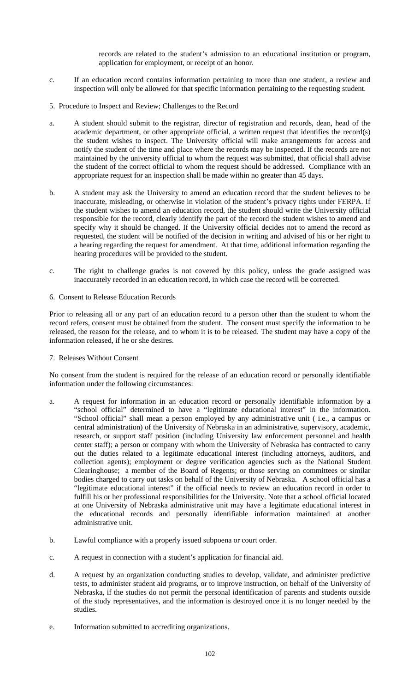records are related to the student's admission to an educational institution or program, application for employment, or receipt of an honor.

- c. If an education record contains information pertaining to more than one student, a review and inspection will only be allowed for that specific information pertaining to the requesting student.
- 5. Procedure to Inspect and Review; Challenges to the Record
- a. A student should submit to the registrar, director of registration and records, dean, head of the academic department, or other appropriate official, a written request that identifies the record(s) the student wishes to inspect. The University official will make arrangements for access and notify the student of the time and place where the records may be inspected. If the records are not maintained by the university official to whom the request was submitted, that official shall advise the student of the correct official to whom the request should be addressed. Compliance with an appropriate request for an inspection shall be made within no greater than 45 days.
- b. A student may ask the University to amend an education record that the student believes to be inaccurate, misleading, or otherwise in violation of the student's privacy rights under FERPA. If the student wishes to amend an education record, the student should write the University official responsible for the record, clearly identify the part of the record the student wishes to amend and specify why it should be changed. If the University official decides not to amend the record as requested, the student will be notified of the decision in writing and advised of his or her right to a hearing regarding the request for amendment. At that time, additional information regarding the hearing procedures will be provided to the student.
- c. The right to challenge grades is not covered by this policy, unless the grade assigned was inaccurately recorded in an education record, in which case the record will be corrected.
- 6. Consent to Release Education Records

Prior to releasing all or any part of an education record to a person other than the student to whom the record refers, consent must be obtained from the student. The consent must specify the information to be released, the reason for the release, and to whom it is to be released. The student may have a copy of the information released, if he or she desires.

7. Releases Without Consent

No consent from the student is required for the release of an education record or personally identifiable information under the following circumstances:

- a. A request for information in an education record or personally identifiable information by a "school official" determined to have a "legitimate educational interest" in the information. "School official" shall mean a person employed by any administrative unit ( i.e., a campus or central administration) of the University of Nebraska in an administrative, supervisory, academic, research, or support staff position (including University law enforcement personnel and health center staff); a person or company with whom the University of Nebraska has contracted to carry out the duties related to a legitimate educational interest (including attorneys, auditors, and collection agents); employment or degree verification agencies such as the National Student Clearinghouse; a member of the Board of Regents; or those serving on committees or similar bodies charged to carry out tasks on behalf of the University of Nebraska. A school official has a "legitimate educational interest" if the official needs to review an education record in order to fulfill his or her professional responsibilities for the University. Note that a school official located at one University of Nebraska administrative unit may have a legitimate educational interest in the educational records and personally identifiable information maintained at another administrative unit.
- b. Lawful compliance with a properly issued subpoena or court order.
- c. A request in connection with a student's application for financial aid.
- d. A request by an organization conducting studies to develop, validate, and administer predictive tests, to administer student aid programs, or to improve instruction, on behalf of the University of Nebraska, if the studies do not permit the personal identification of parents and students outside of the study representatives, and the information is destroyed once it is no longer needed by the studies.
- e. Information submitted to accrediting organizations.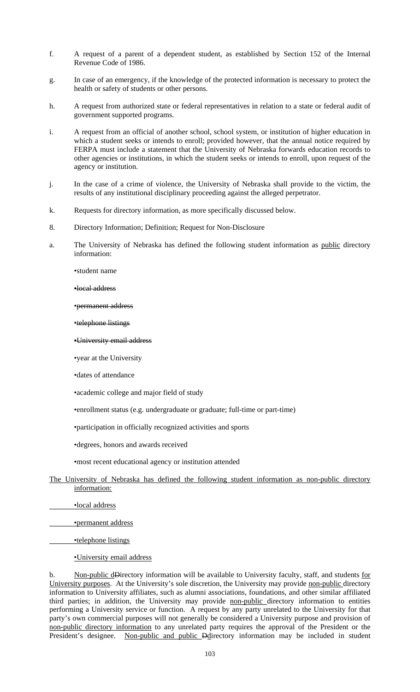- f. A request of a parent of a dependent student, as established by Section 152 of the Internal Revenue Code of 1986.
- g. In case of an emergency, if the knowledge of the protected information is necessary to protect the health or safety of students or other persons.
- h. A request from authorized state or federal representatives in relation to a state or federal audit of government supported programs.
- i. A request from an official of another school, school system, or institution of higher education in which a student seeks or intends to enroll; provided however, that the annual notice required by FERPA must include a statement that the University of Nebraska forwards education records to other agencies or institutions, in which the student seeks or intends to enroll, upon request of the agency or institution.
- j. In the case of a crime of violence, the University of Nebraska shall provide to the victim, the results of any institutional disciplinary proceeding against the alleged perpetrator.
- k. Requests for directory information, as more specifically discussed below.
- 8. Directory Information; Definition; Request for Non-Disclosure
- a. The University of Nebraska has defined the following student information as public directory information:

•student name

•local address

•permanent address

•telephone listings

#### •University email address

•year at the University

•dates of attendance

•academic college and major field of study

•enrollment status (e.g. undergraduate or graduate; full-time or part-time)

•participation in officially recognized activities and sports

•degrees, honors and awards received

•most recent educational agency or institution attended

# The University of Nebraska has defined the following student information as non-public directory information:

•local address

•permanent address

•telephone listings

•University email address

b. Non-public dDirectory information will be available to University faculty, staff, and students for University purposes. At the University's sole discretion, the University may provide non-public directory information to University affiliates, such as alumni associations, foundations, and other similar affiliated third parties; in addition, the University may provide non-public directory information to entities performing a University service or function. A request by any party unrelated to the University for that party's own commercial purposes will not generally be considered a University purpose and provision of non-public directory information to any unrelated party requires the approval of the President or the President's designee. Non-public and public Ddirectory information may be included in student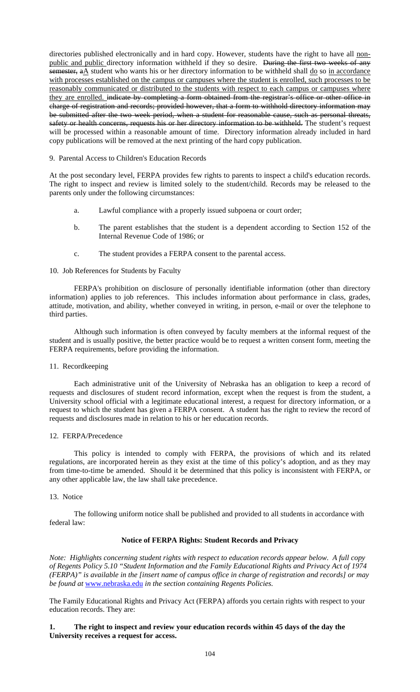directories published electronically and in hard copy. However, students have the right to have all nonpublic and public directory information withheld if they so desire. During the first two weeks of any semester, a A student who wants his or her directory information to be withheld shall do so in accordance with processes established on the campus or campuses where the student is enrolled, such processes to be reasonably communicated or distributed to the students with respect to each campus or campuses where they are enrolled. indicate by completing a form obtained from the registrar's office or other office in charge of registration and records; provided however, that a form to withhold directory information may be submitted after the two week period, when a student for reasonable cause, such as personal threats, safety or health concerns, requests his or her directory information to be withheld. The student's request will be processed within a reasonable amount of time. Directory information already included in hard copy publications will be removed at the next printing of the hard copy publication.

9. Parental Access to Children's Education Records

At the post secondary level, FERPA provides few rights to parents to inspect a child's education records. The right to inspect and review is limited solely to the student/child. Records may be released to the parents only under the following circumstances:

- a. Lawful compliance with a properly issued subpoena or court order;
- b. The parent establishes that the student is a dependent according to Section 152 of the Internal Revenue Code of 1986; or
- c. The student provides a FERPA consent to the parental access.

## 10. Job References for Students by Faculty

FERPA's prohibition on disclosure of personally identifiable information (other than directory information) applies to job references. This includes information about performance in class, grades, attitude, motivation, and ability, whether conveyed in writing, in person, e-mail or over the telephone to third parties.

Although such information is often conveyed by faculty members at the informal request of the student and is usually positive, the better practice would be to request a written consent form, meeting the FERPA requirements, before providing the information.

### 11. Recordkeeping

 Each administrative unit of the University of Nebraska has an obligation to keep a record of requests and disclosures of student record information, except when the request is from the student, a University school official with a legitimate educational interest, a request for directory information, or a request to which the student has given a FERPA consent. A student has the right to review the record of requests and disclosures made in relation to his or her education records.

### 12. FERPA/Precedence

 This policy is intended to comply with FERPA, the provisions of which and its related regulations, are incorporated herein as they exist at the time of this policy's adoption, and as they may from time-to-time be amended. Should it be determined that this policy is inconsistent with FERPA, or any other applicable law, the law shall take precedence.

### 13. Notice

 The following uniform notice shall be published and provided to all students in accordance with federal law:

## **Notice of FERPA Rights: Student Records and Privacy**

*Note: Highlights concerning student rights with respect to education records appear below. A full copy of Regents Policy 5.10 "Student Information and the Family Educational Rights and Privacy Act of 1974 (FERPA)" is available in the [insert name of campus office in charge of registration and records] or may be found at* www.nebraska.edu *in the section containing Regents Policies.* 

The Family Educational Rights and Privacy Act (FERPA) affords you certain rights with respect to your education records. They are:

## **1. The right to inspect and review your education records within 45 days of the day the University receives a request for access.**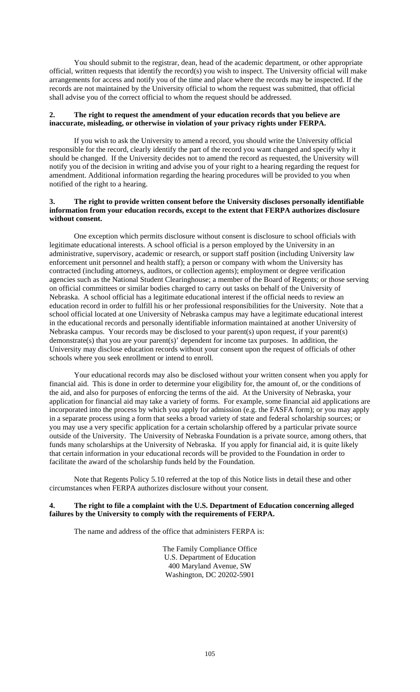You should submit to the registrar, dean, head of the academic department, or other appropriate official, written requests that identify the record(s) you wish to inspect. The University official will make arrangements for access and notify you of the time and place where the records may be inspected. If the records are not maintained by the University official to whom the request was submitted, that official shall advise you of the correct official to whom the request should be addressed.

### **2. The right to request the amendment of your education records that you believe are inaccurate, misleading, or otherwise in violation of your privacy rights under FERPA.**

If you wish to ask the University to amend a record, you should write the University official responsible for the record, clearly identify the part of the record you want changed and specify why it should be changed. If the University decides not to amend the record as requested, the University will notify you of the decision in writing and advise you of your right to a hearing regarding the request for amendment. Additional information regarding the hearing procedures will be provided to you when notified of the right to a hearing.

#### **3. The right to provide written consent before the University discloses personally identifiable information from your education records, except to the extent that FERPA authorizes disclosure without consent.**

 One exception which permits disclosure without consent is disclosure to school officials with legitimate educational interests. A school official is a person employed by the University in an administrative, supervisory, academic or research, or support staff position (including University law enforcement unit personnel and health staff); a person or company with whom the University has contracted (including attorneys, auditors, or collection agents); employment or degree verification agencies such as the National Student Clearinghouse; a member of the Board of Regents; or those serving on official committees or similar bodies charged to carry out tasks on behalf of the University of Nebraska. A school official has a legitimate educational interest if the official needs to review an education record in order to fulfill his or her professional responsibilities for the University. Note that a school official located at one University of Nebraska campus may have a legitimate educational interest in the educational records and personally identifiable information maintained at another University of Nebraska campus. Your records may be disclosed to your parent(s) upon request, if your parent(s) demonstrate(s) that you are your parent(s)' dependent for income tax purposes. In addition, the University may disclose education records without your consent upon the request of officials of other schools where you seek enrollment or intend to enroll.

 Your educational records may also be disclosed without your written consent when you apply for financial aid. This is done in order to determine your eligibility for, the amount of, or the conditions of the aid, and also for purposes of enforcing the terms of the aid. At the University of Nebraska, your application for financial aid may take a variety of forms. For example, some financial aid applications are incorporated into the process by which you apply for admission (e.g. the FASFA form); or you may apply in a separate process using a form that seeks a broad variety of state and federal scholarship sources; or you may use a very specific application for a certain scholarship offered by a particular private source outside of the University. The University of Nebraska Foundation is a private source, among others, that funds many scholarships at the University of Nebraska. If you apply for financial aid, it is quite likely that certain information in your educational records will be provided to the Foundation in order to facilitate the award of the scholarship funds held by the Foundation.

 Note that Regents Policy 5.10 referred at the top of this Notice lists in detail these and other circumstances when FERPA authorizes disclosure without your consent.

### **4. The right to file a complaint with the U.S. Department of Education concerning alleged failures by the University to comply with the requirements of FERPA.**

The name and address of the office that administers FERPA is:

The Family Compliance Office U.S. Department of Education 400 Maryland Avenue, SW Washington, DC 20202-5901